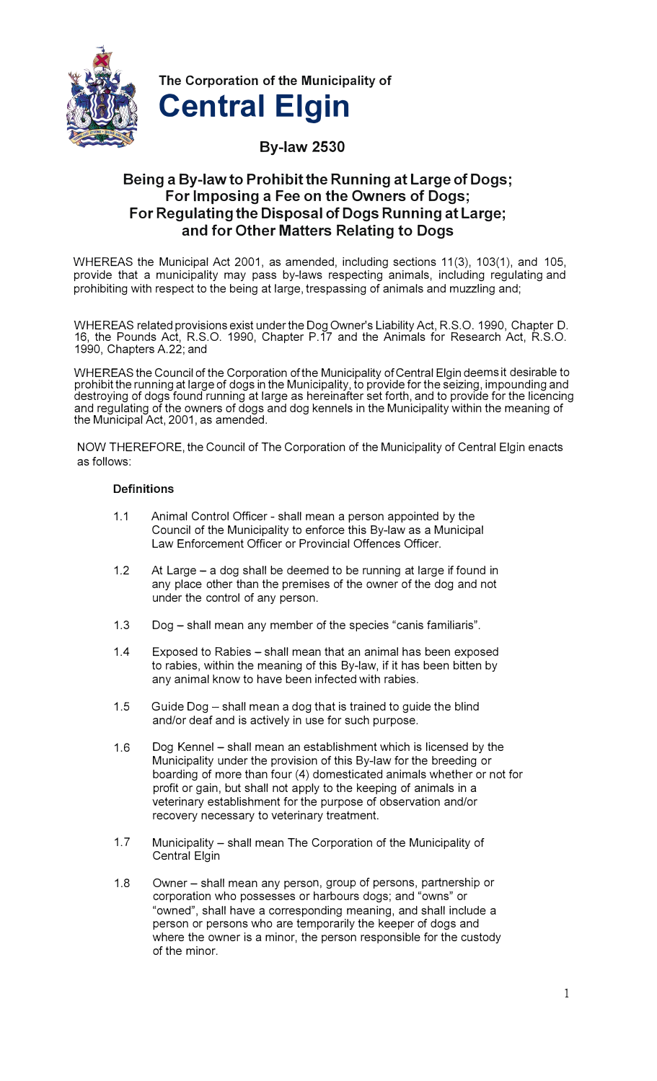

**The Corporation of the Municipality of Central Elgin** 

# **By-law 2530**

# **Being a By-law to Prohibit the Running at Large of Dogs; For Imposing a Fee on the Owners of Dogs; For Regulating the Disposal of Dogs Running at Large; and for Other Matters Relating to Dogs**

WHEREAS the Municipal Act 2001, as amended, including sections 11(3), 103(1), and 105, provide that a municipality may pass by-laws respecting animals, including regulating and prohibiting with respect to the being at large, trespassing of animals and muzzling and;

WHEREAS related provisions exist under the DogOwner's Liability Act, R.S.O. 1990, Chapter D. 16, the Pounds Act, R.S.O. 1990, Chapter P.17 and the Animals for Research Act, R.S.O. 1990, Chapters A.22; and

WHEREAS the Council of the Corporation of the Municipality of Central Elgin deems it desirable to prohibit the running at large of dogs in the Municipality, to provide for the seizing, impounding and destroying of dogs found running at large as hereinafter set forth, and to provide for the licencing and regulating of the owners of dogs and dog kennels in the Municipality within the meaning of the Municipal Act, 2001, as amended.

NOW THEREFORE, the Council of The Corporation of the Municipality of Central Elgin enacts as follows:

## **Definitions**

- 1.1 Animal Control Officer shall mean a person appointed by the Council of the Municipality to enforce this By-law as a Municipal Law Enforcement Officer or Provincial Offences Officer.
- 1.2 At Large a dog shall be deemed to be running at large if found in any place other than the premises of the owner of the dog and not under the control of any person.
- 1.3 Dog shall mean any member of the species "canis familiaris".
- 1.4 Exposed to Rabies shall mean that an animal has been exposed to rabies, within the meaning of this By-law, if it has been bitten by any animal know to have been infected with rabies.
- 1.5 Guide Dog  $-$  shall mean a dog that is trained to guide the blind and/or deaf and is actively in use for such purpose.
- 1.6 Dog Kennel shall mean an establishment which is licensed by the Municipality under the provision of this By-law for the breeding or boarding of more than four (4) domesticated animals whether or not for profit or gain, but shall not apply to the keeping of animals in a veterinary establishment for the purpose of observation and/or recovery necessary to veterinary treatment.
- 1.7 Municipality shall mean The Corporation of the Municipality of Central Elgin
- 1.8 Owner shall mean any person, group of persons, partnership or corporation who possesses or harbours dogs; and "owns" or "owned", shall have a corresponding meaning, and shall include a person or persons who are temporarily the keeper of dogs and where the owner is a minor, the person responsible for the custody of the minor.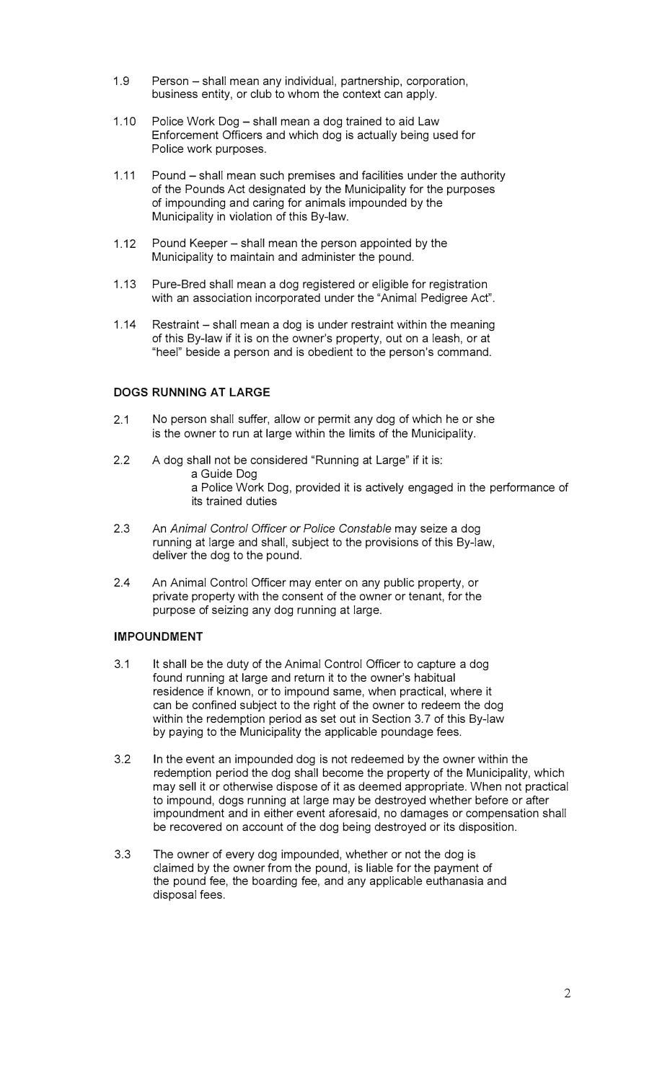- 1.9 Person shall mean any individual, partnership, corporation, business entity, or club to whom the context can apply.
- 1.10 Police Work Dog shall mean a dog trained to aid Law Enforcement Officers and which dog is actually being used for Police work purposes.
- 1.11 Pound shall mean such premises and facilities under the authority of the Pounds Act designated by the Municipality for the purposes of impounding and caring for animals impounded by the Municipality in violation of this By-law.
- 1.12 Pound Keeper shall mean the person appointed by the Municipality to maintain and administer the pound.
- 1.13 Pure-Bred shall mean a dog registered or eligible for registration with an association incorporated under the "Animal Pedigree Act".
- 1.14 Restraint shall mean a dog is under restraint within the meaning of this By-law if it is on the owner's property, out on a leash, or at "heel" beside a person and is obedient to the person's command.

## **DOGS RUNNING AT LARGE**

- 2.1 No person shall suffer, allow or permit any dog of which he or she is the owner to run at large within the limits of the Municipality.
- 2.2 A dog shall not be considered "Running at Large" if it is: a Guide Dog a Police Work Dog, provided it is actively engaged in the performance of its trained duties
- 2.3 An *Animal Control Officer or Police Constable* may seize a dog running at large and shall, subject to the provisions of this By-law, deliver the dog to the pound.
- 2.4 An Animal Control Officer may enter on any public property, or private property with the consent of the owner or tenant, for the purpose of seizing any dog running at large.

## **IMPOUNDMENT**

- 3.1 It shall be the duty of the Animal Control Officer to capture a dog found running at large and return it to the owner's habitual residence if known, or to impound same, when practical, where it can be confined subject to the right of the owner to redeem the dog within the redemption period as set out in Section 3.7 of this By-law by paying to the Municipality the applicable poundage fees.
- 3.2 In the event an impounded dog is not redeemed by the owner within the redemption period the dog shall become the property of the Municipality, which may sell it or otherwise dispose of it as deemed appropriate. When not practical to impound, dogs running at large may be destroyed whether before or after impoundment and in either event aforesaid, no damages or compensation shall be recovered on account of the dog being destroyed or its disposition.
- 3.3 The owner of every dog impounded, whether or not the dog is claimed by the owner from the pound, is liable for the payment of the pound fee, the boarding fee, and any applicable euthanasia and disposal fees.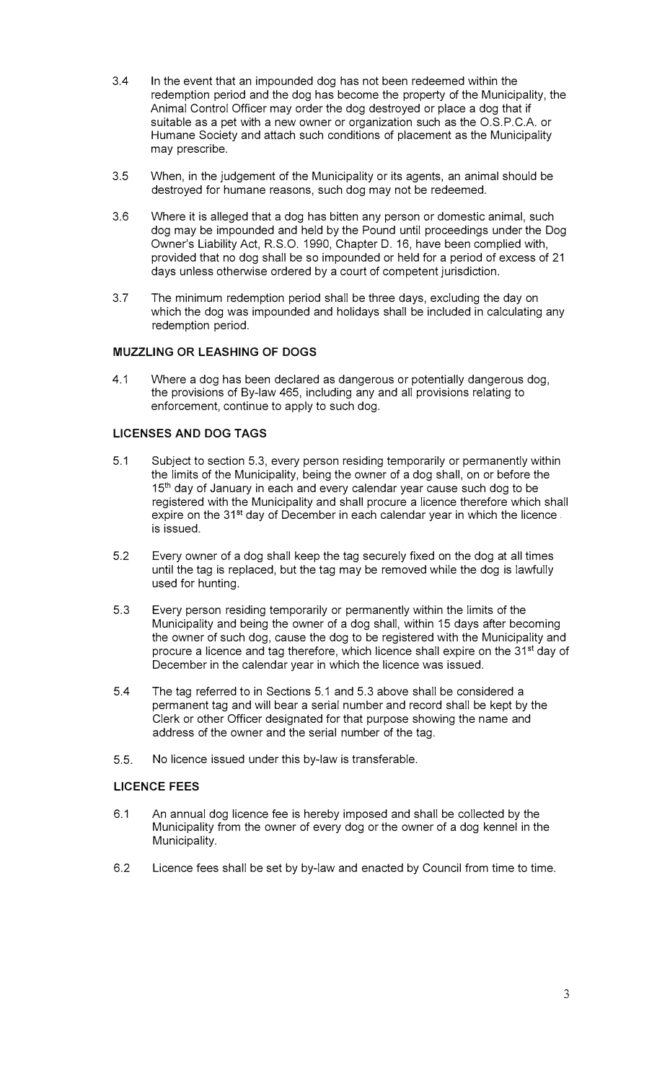- 3.4 In the event that an impounded dog has not been redeemed within the redemption period and the dog has become the property of the Municipality, the Animal Control Officer may order the dog destroyed or place a dog that if suitable as a pet with a new owner or organization such as the O.S.P.C.A. or Humane Society and attach such conditions of placement as the Municipality may prescribe.
- 3.5 When, in the judgement of the Municipality or its agents, an animal should be destroyed for humane reasons, such dog may not be redeemed.
- 3.6 Where it is alleged that a dog has bitten any person or domestic animal, such dog may be impounded and held by the Pound until proceedings under the Dog Owner's Liability Act, R.S.O. 1990, Chapter D. 16, have been complied with, provided that no dog shall be so impounded or held for a period of excess of 21 days unless otherwise ordered by a court of competent jurisdiction.
- 3.7 The minimum redemption period shall be three days, excluding the day on which the dog was impounded and holidays shall be included in calculating any redemption period.

## **MUZZLING OR LEASHING OF DOGS**

4.1 Where a dog has been declared as dangerous or potentially dangerous dog, the provisions of By-law 465, including any and all provisions relating to enforcement, continue to apply to such dog.

# **LICENSES AND DOG TAGS**

- 5.1 Subject to section 5.3, every person residing temporarily or permanently within the limits of the Municipality, being the owner of a dog shall, on or before the 15<sup>th</sup> day of January in each and every calendar year cause such dog to be registered with the Municipality and shall procure a licence therefore which shall expire on the 31<sup>st</sup> day of December in each calendar year in which the licence. is issued.
- 5.2 Every owner of a dog shall keep the tag securely fixed on the dog at all times until the tag is replaced, but the tag may be removed while the dog is lawfully used for hunting.
- 5.3 Every person residing temporarily or permanently within the limits of the Municipality and being the owner of a dog shall, within 15 days after becoming the owner of such dog, cause the dog to be registered with the Municipality and procure a licence and tag therefore, which licence shall expire on the 31<sup>st</sup> day of December in the calendar year in which the licence was issued.
- 5.4 The tag referred to in Sections 5.1 and 5.3 above shall be considered a permanent tag and will bear a serial number and record shall be kept by the Clerk or other Officer designated for that purpose showing the name and address of the owner and the serial number of the tag.
- 5.5. No licence issued under this by-law is transferable.

## **LICENCE FEES**

- 6.1 An annual dog licence fee is hereby imposed and shall be collected by the Municipality from the owner of every dog or the owner of a dog kennel in the Municipality.
- 6.2 Licence fees shall be set by by-law and enacted by Council from time to time.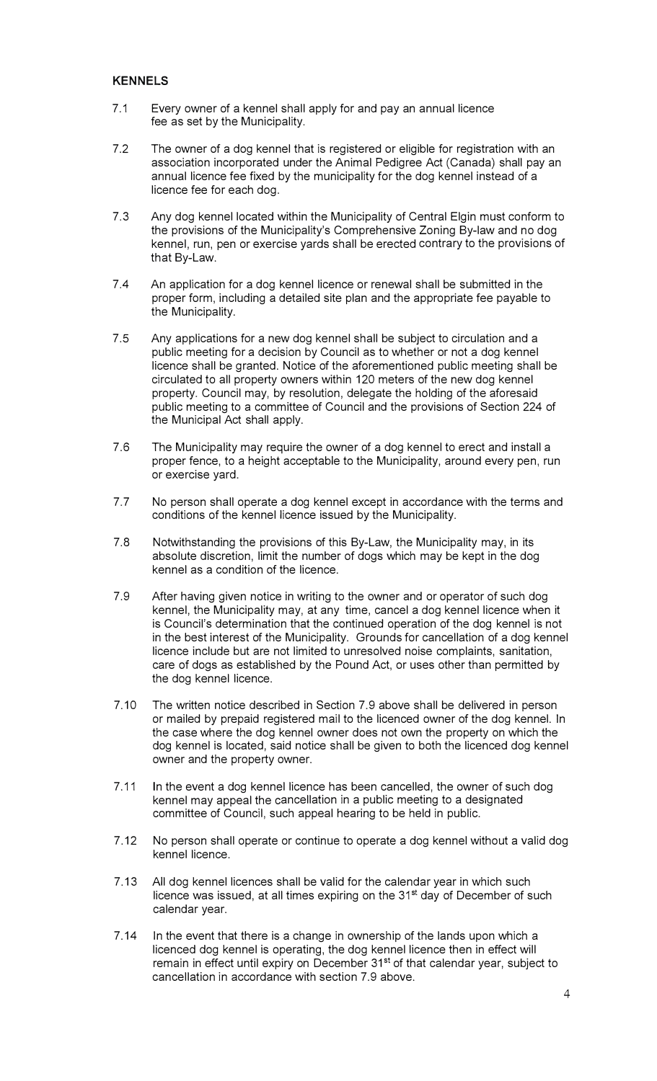#### **KENNELS**

- 7.1 Every owner of a kennel shall apply for and pay an annual licence fee as set by the Municipality.
- 7.2 The owner of a dog kennel that is registered or eligible for registration with an association incorporated under the Animal Pedigree Act (Canada) shall pay an annual licence fee fixed by the municipality for the dog kennel instead of a licence fee for each dog.
- 7.3 Any dog kennel located within the Municipality of Central Elgin must conform to the provisions of the Municipality's Comprehensive Zoning By-law and no dog kennel, run, pen or exercise yards shall be erected contrary to the provisions of that By-Law.
- 7.4 An application for a dog kennel licence or renewal shall be submitted in the proper form, including a detailed site plan and the appropriate fee payable to the Municipality.
- 7.5 Any applications for a new dog kennel shall be subject to circulation and a public meeting for a decision by Council as to whether or not a dog kennel licence shall be granted. Notice of the aforementioned public meeting shall be circulated to all property owners within 120 meters of the new dog kennel property. Council may, by resolution, delegate the holding of the aforesaid public meeting to a committee of Council and the provisions of Section 224 of the Municipal Act shall apply.
- 7.6 The Municipality may require the owner of a dog kennel to erect and install a proper fence, to a height acceptable to the Municipality, around every pen, run or exercise yard.
- 7.7 No person shall operate a dog kennel except in accordance with the terms and conditions of the kennel licence issued by the Municipality.
- 7.8 Notwithstanding the provisions of this By-Law, the Municipality may, in its absolute discretion, limit the number of dogs which may be kept in the dog kennel as a condition of the licence.
- 7.9 After having given notice in writing to the owner and or operator of such dog kennel, the Municipality may, at any time, cancel a dog kennel licence when it is Council's determination that the continued operation of the dog kennel is not in the best interest of the Municipality. Grounds for cancellation of a dog kennel licence include but are not limited to unresolved noise complaints, sanitation, care of dogs as established by the Pound Act, or uses other than permitted by the dog kennel licence.
- 7.10 The written notice described in Section 7.9 above shall be delivered in person or mailed by prepaid registered mail to the licenced owner of the dog kennel. In the case where the dog kennel owner does not own the property on which the dog kennel is located, said notice shall be given to both the licenced dog kennel owner and the property owner.
- 7.11 In the event a dog kennel licence has been cancelled, the owner of such dog kennel may appeal the cancellation in a public meeting to a designated committee of Council, such appeal hearing to be held in public.
- 7.12 No person shall operate or continue to operate a dog kennel without a valid dog kennel licence.
- 7 .13 All dog kennel licences shall be valid for the calendar year in which such licence was issued, at all times expiring on the 31<sup>st</sup> day of December of such calendar year.
- 7.14 In the event that there is a change in ownership of the lands upon which a licenced dog kennel is operating, the dog kennel licence then in effect will remain in effect until expiry on December 31<sup>st</sup> of that calendar year, subject to cancellation in accordance with section 7.9 above.